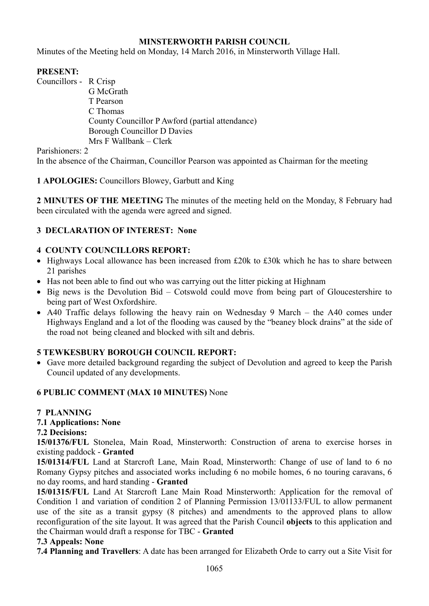# **MINSTERWORTH PARISH COUNCIL**

Minutes of the Meeting held on Monday, 14 March 2016, in Minsterworth Village Hall.

# **PRESENT:**

Councillors - R Crisp G McGrath T Pearson C Thomas County Councillor P Awford (partial attendance) Borough Councillor D Davies Mrs F Wallbank – Clerk

Parishioners: 2

In the absence of the Chairman, Councillor Pearson was appointed as Chairman for the meeting

**1 APOLOGIES:** Councillors Blowey, Garbutt and King

**2 MINUTES OF THE MEETING** The minutes of the meeting held on the Monday, 8 February had been circulated with the agenda were agreed and signed.

# **3 DECLARATION OF INTEREST: None**

# **4 COUNTY COUNCILLORS REPORT:**

- Highways Local allowance has been increased from £20k to £30k which he has to share between 21 parishes
- Has not been able to find out who was carrying out the litter picking at Highnam
- Big news is the Devolution Bid Cotswold could move from being part of Gloucestershire to being part of West Oxfordshire.
- A40 Traffic delays following the heavy rain on Wednesday 9 March the A40 comes under Highways England and a lot of the flooding was caused by the "beaney block drains" at the side of the road not being cleaned and blocked with silt and debris.

# **5 TEWKESBURY BOROUGH COUNCIL REPORT:**

• Gave more detailed background regarding the subject of Devolution and agreed to keep the Parish Council updated of any developments.

#### **6 PUBLIC COMMENT (MAX 10 MINUTES)** None

#### **7 PLANNING**

# **7.1 Applications: None**

#### **7.2 Decisions:**

**15/01376/FUL** Stonelea, Main Road, Minsterworth: Construction of arena to exercise horses in existing paddock - **Granted** 

**15/01314/FUL** Land at Starcroft Lane, Main Road, Minsterworth: Change of use of land to 6 no Romany Gypsy pitches and associated works including 6 no mobile homes, 6 no touring caravans, 6 no day rooms, and hard standing - **Granted** 

**15/01315/FUL** Land At Starcroft Lane Main Road Minsterworth: Application for the removal of Condition 1 and variation of condition 2 of Planning Permission 13/01133/FUL to allow permanent use of the site as a transit gypsy (8 pitches) and amendments to the approved plans to allow reconfiguration of the site layout. It was agreed that the Parish Council **objects** to this application and the Chairman would draft a response for TBC - **Granted**

#### **7.3 Appeals: None**

**7.4 Planning and Travellers**: A date has been arranged for Elizabeth Orde to carry out a Site Visit for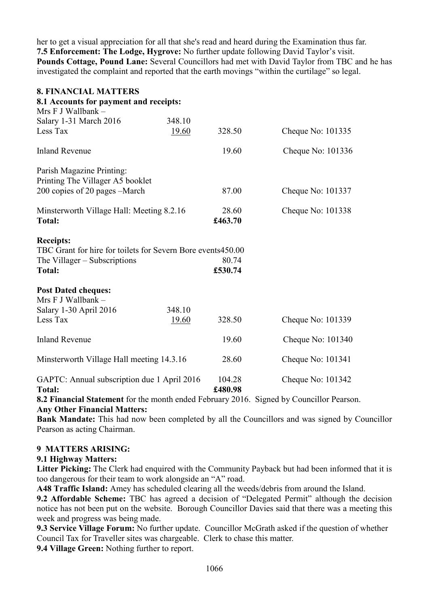her to get a visual appreciation for all that she's read and heard during the Examination thus far. **7.5 Enforcement: The Lodge, Hygrove:** No further update following David Taylor's visit. **Pounds Cottage, Pound Lane:** Several Councillors had met with David Taylor from TBC and he has investigated the complaint and reported that the earth movings "within the curtilage" so legal.

| <b>8. FINANCIAL MATTERS</b><br>8.1 Accounts for payment and receipts:<br>Mrs F J Wallbank -                                      |        |                                         |                                                         |
|----------------------------------------------------------------------------------------------------------------------------------|--------|-----------------------------------------|---------------------------------------------------------|
| Salary 1-31 March 2016                                                                                                           | 348.10 |                                         |                                                         |
| Less Tax                                                                                                                         | 19.60  | 328.50                                  | Cheque No: 101335                                       |
| <b>Inland Revenue</b>                                                                                                            |        | 19.60                                   | Cheque No: 101336                                       |
| Parish Magazine Printing:<br>Printing The Villager A5 booklet                                                                    |        |                                         |                                                         |
| 200 copies of 20 pages -March                                                                                                    |        | 87.00                                   | Cheque No: 101337                                       |
| Minsterworth Village Hall: Meeting 8.2.16<br><b>Total:</b>                                                                       |        | 28.60<br>£463.70                        | Cheque No: 101338                                       |
| <b>Receipts:</b><br>TBC Grant for hire for toilets for Severn Bore events450.00<br>The Villager – Subscriptions<br><b>Total:</b> |        | 80.74<br>£530.74                        |                                                         |
| <b>Post Dated cheques:</b><br>Mrs F J Wallbank -<br>Salary 1-30 April 2016                                                       | 348.10 |                                         |                                                         |
| Less Tax                                                                                                                         | 19.60  | 328.50                                  | Cheque No: 101339                                       |
| <b>Inland Revenue</b>                                                                                                            |        | 19.60                                   | Cheque No: 101340                                       |
| Minsterworth Village Hall meeting 14.3.16                                                                                        |        | 28.60                                   | Cheque No: 101341                                       |
| GAPTC: Annual subscription due 1 April 2016<br><b>Total:</b>                                                                     |        | 104.28<br>£480.98<br>$2016$ $2^{\circ}$ | Cheque No: 101342<br>$11 \quad \alpha$ $11 \quad \beta$ |

**8.2 Financial Statement** for the month ended February 2016. Signed by Councillor Pearson. **Any Other Financial Matters:** 

**Bank Mandate:** This had now been completed by all the Councillors and was signed by Councillor Pearson as acting Chairman.

# **9 MATTERS ARISING:**

# **9.1 Highway Matters:**

**Litter Picking:** The Clerk had enquired with the Community Payback but had been informed that it is too dangerous for their team to work alongside an "A" road.

**A48 Traffic Island:** Amey has scheduled clearing all the weeds/debris from around the Island.

**9.2 Affordable Scheme:** TBC has agreed a decision of "Delegated Permit" although the decision notice has not been put on the website. Borough Councillor Davies said that there was a meeting this week and progress was being made.

**9.3 Service Village Forum:** No further update. Councillor McGrath asked if the question of whether Council Tax for Traveller sites was chargeable. Clerk to chase this matter.

**9.4 Village Green:** Nothing further to report.